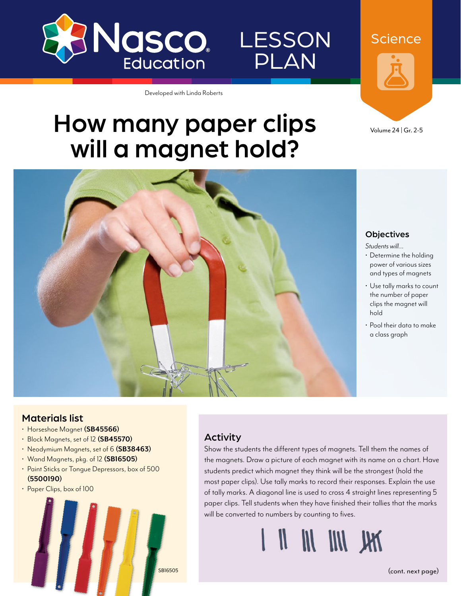

Developed with Linda Roberts

LESSON

PLAN

# How many paper clips will a magnet hold?



#### **Objectives**

Volume 24 | Gr. 2-5

**Science** 

#### *Students will…*

- Determine the holding power of various sizes and types of magnets
- Use tally marks to count the number of paper clips the magnet will hold
- Pool their data to make a class graph

#### Materials list

- Horseshoe Magnet **[\(SB45566](http://www.enasco.com/p/SB45566))**
- Block Magnets, set of 12 **[\(SB45570](http://www.enasco.com/p/SB45570))**
- Neodymium Magnets, set of 6 **[\(SB38463](http://www.enasco.com/p/SB38463))**
- Wand Magnets, pkg. of 12 **[\(SB16505](http://www.enasco.com/p/SB16505))**
- Paint Sticks or Tongue Depressors, box of 500 **[\(5500190\)](http://www.enasco.com/p/5500190)**
- Paper Clips, box of 100



### Activity

Show the students the different types of magnets. Tell them the names of the magnets. Draw a picture of each magnet with its name on a chart. Have students predict which magnet they think will be the strongest (hold the most paper clips). Use tally marks to record their responses. Explain the use of tally marks. A diagonal line is used to cross 4 straight lines representing 5 paper clips. Tell students when they have finished their tallies that the marks will be converted to numbers by counting to fives.

[SB16505](http://www.enasco.com/p/SB16505) (cont. next page)